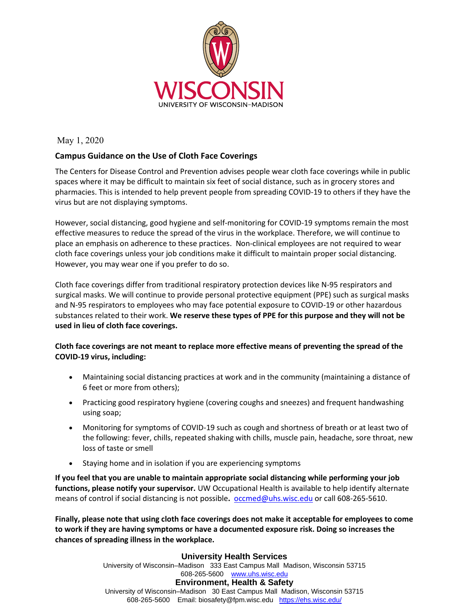

May 1, 2020

### **Campus Guidance on the Use of Cloth Face Coverings**

The Centers for Disease Control and Prevention advises people wear cloth face coverings while in public spaces where it may be difficult to maintain six feet of social distance, such as in grocery stores and pharmacies. This is intended to help prevent people from spreading COVID-19 to others if they have the virus but are not displaying symptoms.

However, social distancing, good hygiene and self-monitoring for COVID-19 symptoms remain the most effective measures to reduce the spread of the virus in the workplace. Therefore, we will continue to place an emphasis on adherence to these practices. Non-clinical employees are not required to wear cloth face coverings unless your job conditions make it difficult to maintain proper social distancing. However, you may wear one if you prefer to do so.

Cloth face coverings differ from traditional respiratory protection devices like N-95 respirators and surgical masks. We will continue to provide personal protective equipment (PPE) such as surgical masks and N-95 respirators to employees who may face potential exposure to COVID-19 or other hazardous substances related to their work. **We reserve these types of PPE for this purpose and they will not be used in lieu of cloth face coverings.**

#### **Cloth face coverings are not meant to replace more effective means of preventing the spread of the COVID-19 virus, including:**

- Maintaining social distancing practices at work and in the community (maintaining a distance of 6 feet or more from others);
- Practicing good respiratory hygiene (covering coughs and sneezes) and frequent handwashing using soap;
- Monitoring for symptoms of COVID-19 such as cough and shortness of breath or at least two of the following: fever, chills, repeated shaking with chills, muscle pain, headache, sore throat, new loss of taste or smell
- Staying home and in isolation if you are experiencing symptoms

**If you feel that you are unable to maintain appropriate social distancing while performing your job functions, please notify your supervisor.** UW Occupational Health is available to help identify alternate means of control if social distancing is not possible**.** [occmed@uhs.wisc.edu](mailto:occmed@uhs.wisc.edu) or call 608-265-5610.

**Finally, please note that using cloth face coverings does not make it acceptable for employees to come to work if they are having symptoms or have a documented exposure risk. Doing so increases the chances of spreading illness in the workplace.**

#### **University Health Services** University of Wisconsin–Madison 333 East Campus Mall Madison, Wisconsin 53715 608-265-5600 [www.uhs.wisc.edu](https://www.uhs.wisc.edu/) **Environment, Health & Safety** University of Wisconsin–Madison 30 East Campus Mall Madison, Wisconsin 53715 608-265-5600 Email: biosafety@fpm.wisc.edu <https://ehs.wisc.edu/>